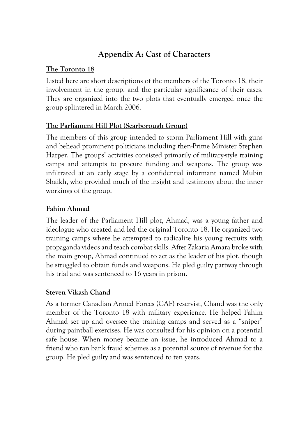# **Appendix A: Cast of Characters**

# **The Toronto 18**

Listed here are short descriptions of the members of the Toronto 18, their involvement in the group, and the particular significance of their cases. They are organized into the two plots that eventually emerged once the group splintered in March 2006.

# **The Parliament Hill Plot (Scarborough Group)**

The members of this group intended to storm Parliament Hill with guns and behead prominent politicians including then-Prime Minister Stephen Harper. The groups' activities consisted primarily of military-style training camps and attempts to procure funding and weapons. The group was infiltrated at an early stage by a confidential informant named Mubin Shaikh, who provided much of the insight and testimony about the inner workings of the group.

# **Fahim Ahmad**

The leader of the Parliament Hill plot, Ahmad, was a young father and ideologue who created and led the original Toronto 18. He organized two training camps where he attempted to radicalize his young recruits with propaganda videos and teach combat skills. After Zakaria Amara broke with the main group, Ahmad continued to act as the leader of his plot, though he struggled to obtain funds and weapons. He pled guilty partway through his trial and was sentenced to 16 years in prison.

# **Steven Vikash Chand**

As a former Canadian Armed Forces (CAF) reservist, Chand was the only member of the Toronto 18 with military experience. He helped Fahim Ahmad set up and oversee the training camps and served as a "sniper" during paintball exercises. He was consulted for his opinion on a potential safe house. When money became an issue, he introduced Ahmad to a friend who ran bank fraud schemes as a potential source of revenue for the group. He pled guilty and was sentenced to ten years.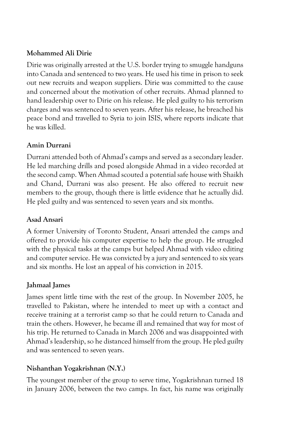#### **Mohammed Ali Dirie**

Dirie was originally arrested at the U.S. border trying to smuggle handguns into Canada and sentenced to two years. He used his time in prison to seek out new recruits and weapon suppliers. Dirie was committed to the cause and concerned about the motivation of other recruits. Ahmad planned to hand leadership over to Dirie on his release. He pled guilty to his terrorism charges and was sentenced to seven years. After his release, he breached his peace bond and travelled to Syria to join ISIS, where reports indicate that he was killed.

#### **Amin Durrani**

Durrani attended both of Ahmad's camps and served as a secondary leader. He led marching drills and posed alongside Ahmad in a video recorded at the second camp. When Ahmad scouted a potential safe house with Shaikh and Chand, Durrani was also present. He also offered to recruit new members to the group, though there is little evidence that he actually did. He pled guilty and was sentenced to seven years and six months.

#### **Asad Ansari**

A former University of Toronto Student, Ansari attended the camps and offered to provide his computer expertise to help the group. He struggled with the physical tasks at the camps but helped Ahmad with video editing and computer service. He was convicted by a jury and sentenced to six years and six months. He lost an appeal of his conviction in 2015.

# **Jahmaal James**

James spent little time with the rest of the group. In November 2005, he travelled to Pakistan, where he intended to meet up with a contact and receive training at a terrorist camp so that he could return to Canada and train the others. However, he became ill and remained that way for most of his trip. He returned to Canada in March 2006 and was disappointed with Ahmad's leadership, so he distanced himself from the group. He pled guilty and was sentenced to seven years.

# **Nishanthan Yogakrishnan (N.Y.)**

The youngest member of the group to serve time, Yogakrishnan turned 18 in January 2006, between the two camps. In fact, his name was originally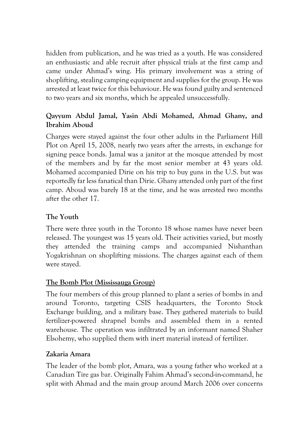hidden from publication, and he was tried as a youth. He was considered an enthusiastic and able recruit after physical trials at the first camp and came under Ahmad's wing. His primary involvement was a string of shoplifting, stealing camping equipment and supplies for the group. He was arrested at least twice for this behaviour. He was found guilty and sentenced to two years and six months, which he appealed unsuccessfully.

# **Qayyum Abdul Jamal, Yasin Abdi Mohamed, Ahmad Ghany, and Ibrahim Aboud**

Charges were stayed against the four other adults in the Parliament Hill Plot on April 15, 2008, nearly two years after the arrests, in exchange for signing peace bonds. Jamal was a janitor at the mosque attended by most of the members and by far the most senior member at 43 years old. Mohamed accompanied Dirie on his trip to buy guns in the U.S. but was reportedly far less fanatical than Dirie. Ghany attended only part of the first camp. Aboud was barely 18 at the time, and he was arrested two months after the other 17.

# **The Youth**

There were three youth in the Toronto 18 whose names have never been released. The youngest was 15 years old. Their activities varied, but mostly they attended the training camps and accompanied Nishanthan Yogakrishnan on shoplifting missions. The charges against each of them were stayed.

# **The Bomb Plot (Mississauga Group)**

The four members of this group planned to plant a series of bombs in and around Toronto, targeting CSIS headquarters, the Toronto Stock Exchange building, and a military base. They gathered materials to build fertilizer-powered shrapnel bombs and assembled them in a rented warehouse. The operation was infiltrated by an informant named Shaher Elsohemy, who supplied them with inert material instead of fertilizer.

# **Zakaria Amara**

The leader of the bomb plot, Amara, was a young father who worked at a Canadian Tire gas bar. Originally Fahim Ahmad's second-in-command, he split with Ahmad and the main group around March 2006 over concerns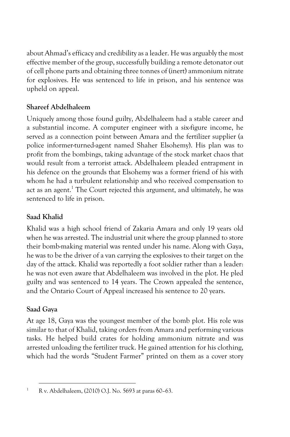about Ahmad's efficacy and credibility as a leader. He was arguably the most effective member of the group, successfully building a remote detonator out of cell phone parts and obtaining three tonnes of (inert) ammonium nitrate for explosives. He was sentenced to life in prison, and his sentence was upheld on appeal.

# **Shareef Abdelhaleem**

Uniquely among those found guilty, Abdelhaleem had a stable career and a substantial income. A computer engineer with a six-figure income, he served as a connection point between Amara and the fertilizer supplier (a police informer-turned-agent named Shaher Elsohemy). His plan was to profit from the bombings, taking advantage of the stock market chaos that would result from a terrorist attack. Abdelhaleem pleaded entrapment in his defence on the grounds that Elsohemy was a former friend of his with whom he had a turbulent relationship and who received compensation to act as an agent. <sup>1</sup> The Court rejected this argument, and ultimately, he was sentenced to life in prison.

# **Saad Khalid**

Khalid was a high school friend of Zakaria Amara and only 19 years old when he was arrested. The industrial unit where the group planned to store their bomb-making material was rented under his name. Along with Gaya, he was to be the driver of a van carrying the explosives to their target on the day of the attack. Khalid was reportedly a foot soldier rather than a leader: he was not even aware that Abdelhaleem was involved in the plot. He pled guilty and was sentenced to 14 years. The Crown appealed the sentence, and the Ontario Court of Appeal increased his sentence to 20 years.

# **Saad Gaya**

At age 18, Gaya was the youngest member of the bomb plot. His role was similar to that of Khalid, taking orders from Amara and performing various tasks. He helped build crates for holding ammonium nitrate and was arrested unloading the fertilizer truck. He gained attention for his clothing, which had the words "Student Farmer" printed on them as a cover story

<sup>1</sup> R v. Abdelhaleem, (2010) O.J. No. 5693 at paras 60–63.